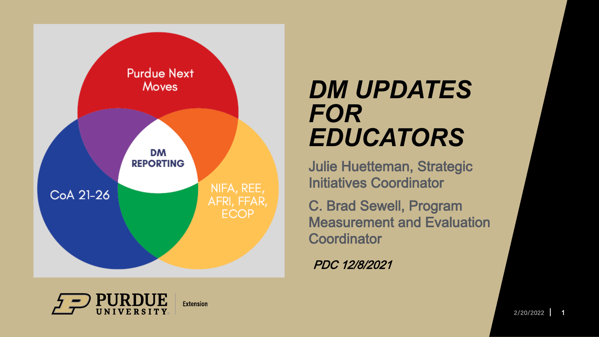

### *DM UPDATES FOR EDUCATORS*

Julie Huetteman, Strategic Initiatives Coordinator

C. Brad Sewell, Program Measurement and Evaluation **Coordinator** 

PDC 12/8/2021

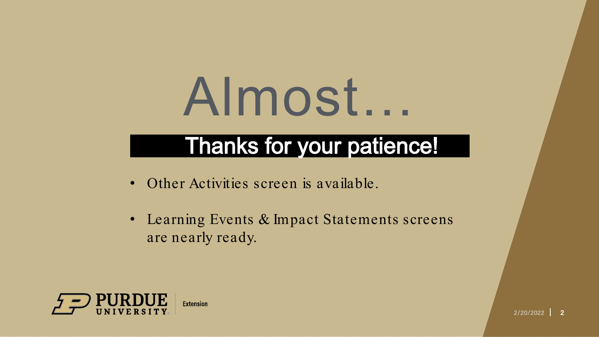## Almost…

### Thanks for your patience!

- Other Activities screen is available.
- Learning Events & Impact Statements screens are nearly ready.

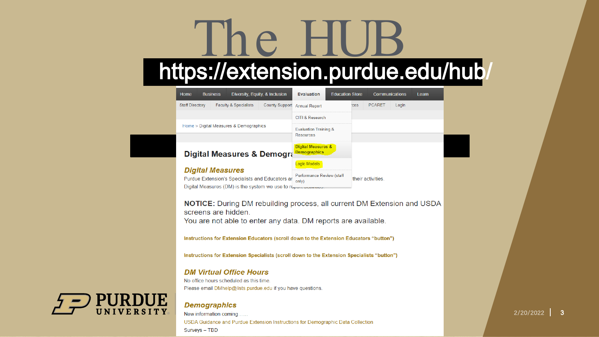# The HUB<br>https://extension.purdue.edu/hub/

|             | Home                    | <b>Business</b> |                                         | Diversity, Equity, & Inclusion                                                                                                                          | <b>Evaluation</b>                                    | <b>Education Store</b> |     |                   | Communications | Leam |
|-------------|-------------------------|-----------------|-----------------------------------------|---------------------------------------------------------------------------------------------------------------------------------------------------------|------------------------------------------------------|------------------------|-----|-------------------|----------------|------|
|             | <b>Staff Directory</b>  |                 | <b>Faculty &amp; Specialists</b>        | <b>County Support</b>                                                                                                                                   | <b>Annual Report</b>                                 |                        | ces | <b>PCARET</b>     | Login          |      |
|             |                         |                 |                                         |                                                                                                                                                         | <b>CITI &amp; Research</b>                           |                        |     |                   |                |      |
|             |                         |                 | Home > Digital Measures & Demographics  |                                                                                                                                                         | <b>Evaluation Training &amp;</b>                     |                        |     |                   |                |      |
|             |                         |                 |                                         |                                                                                                                                                         | <b>Resources</b>                                     |                        |     |                   |                |      |
|             |                         |                 |                                         | Digital Measures & Demogra                                                                                                                              | <b>Digital Measures &amp;</b><br><b>Demographics</b> |                        |     |                   |                |      |
|             |                         |                 |                                         |                                                                                                                                                         | Logic Models                                         |                        |     |                   |                |      |
|             | <b>Digital Measures</b> |                 |                                         | Purdue Extension's Specialists and Educators ar                                                                                                         | Performance Review (staff                            |                        |     | their activities. |                |      |
|             |                         |                 |                                         | Digital Measures (DM) is the system we use to report administration                                                                                     | only)                                                |                        |     |                   |                |      |
|             |                         |                 | screens are hidden.                     | You are not able to enter any data. DM reports are available.<br>Instructions for Extension Educators (scroll down to the Extension Educators "button") |                                                      |                        |     |                   |                |      |
|             |                         |                 |                                         | Instructions for Extension Specialists (scroll down to the Extension Specialists "button")                                                              |                                                      |                        |     |                   |                |      |
|             |                         |                 | <b>DM Virtual Office Hours</b>          |                                                                                                                                                         |                                                      |                        |     |                   |                |      |
|             |                         |                 | No office hours scheduled as this time. |                                                                                                                                                         |                                                      |                        |     |                   |                |      |
|             |                         |                 |                                         | Please email DMhelp@lists.purdue.edu if you have questions.                                                                                             |                                                      |                        |     |                   |                |      |
| <b>JUE</b>  | <b>Demographics</b>     |                 |                                         |                                                                                                                                                         |                                                      |                        |     |                   |                |      |
| <b>SITY</b> | New information coming. |                 |                                         |                                                                                                                                                         |                                                      |                        |     |                   |                |      |
|             |                         |                 |                                         | USDA Guidance and Purdue Extension Instructions for Demographic Data Collection                                                                         |                                                      |                        |     |                   |                |      |



Surveys - TBD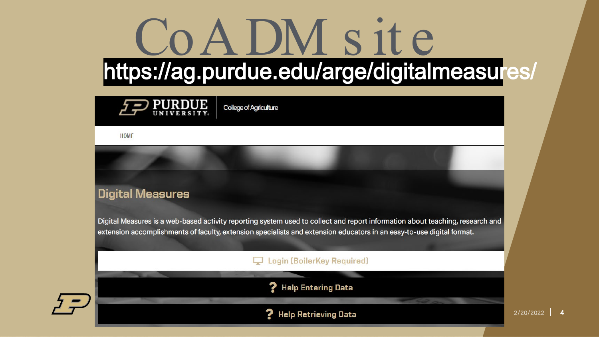### CoADM s it e https://ag.purdue.edu/arge/digitalmeasures/



**College of Agriculture** 

HOME

#### **Digital Measures**

Digital Measures is a web-based activity reporting system used to collect and report information about teaching, research and extension accomplishments of faculty, extension specialists and extension educators in an easy-to-use digital format.

#### **Login (BoilerKey Required)**



? Help Entering Data

**Help Retrieving Data** 7

2/20/2022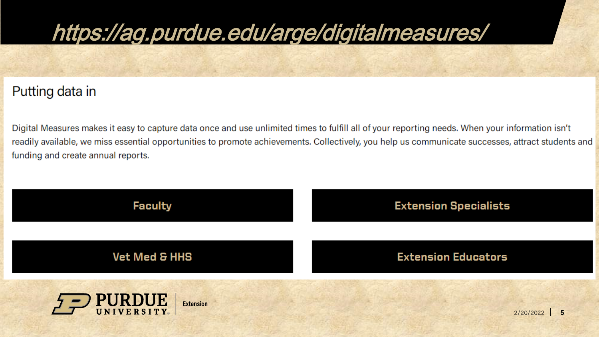### https://ag.purdue.edu/arge/digitalmeasures/

#### Putting data in

Digital Measures makes it easy to capture data once and use unlimited times to fulfill all of your reporting needs. When your information isn't readily available, we miss essential opportunities to promote achievements. Collectively, you help us communicate successes, attract students and funding and create annual reports.

| <b>Faculty</b>             | <b>Extension Specialists</b> |  |  |  |  |
|----------------------------|------------------------------|--|--|--|--|
| <b>Vet Med &amp; HHS</b>   | <b>Extension Educators</b>   |  |  |  |  |
| PURDUE<br><b>Extension</b> | 2/20/2022<br>$5\overline{5}$ |  |  |  |  |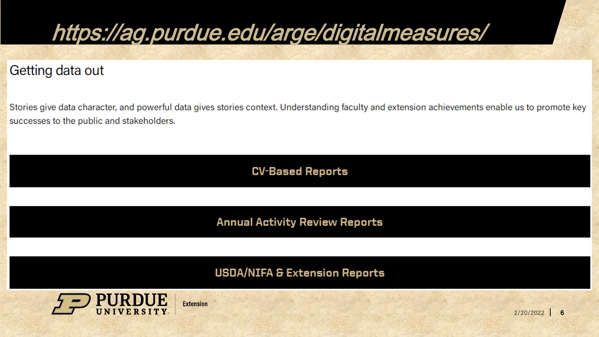

Getting data out

Stories give data character, and powerful data gives stories context. Understanding faculty and extension achievements enable us to promote key successes to the public and stakeholders.

**CV-Based Reports** 

**Annual Activity Review Reports** 

**USDA/NIFA & Extension Reports** 



**Extension**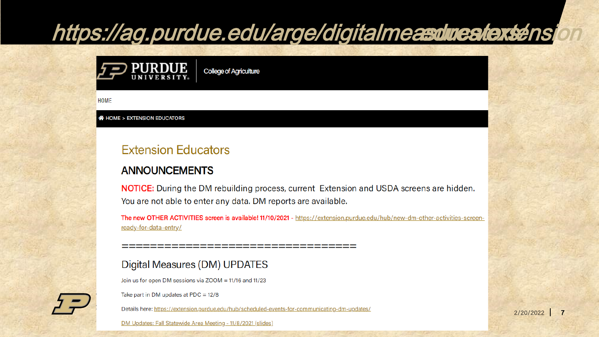### https://ag.purdue.edu/arge/digitalmeasdueatextensi

**College of Agriculture** 

**HOME** 

**N** HOME > EXTENSION EDUCATORS

**PURDUE** 

#### **Extension Educators**

#### **ANNOUNCEMENTS**

**NOTICE:** During the DM rebuilding process, current Extension and USDA screens are hidden. You are not able to enter any data. DM reports are available.

The new OTHER ACTIVITIES screen is available! 11/10/2021 - https://extension.purdue.edu/hub/new-dm-other-activities-screenready-for-data-entry/

#### Digital Measures (DM) UPDATES

Join us for open DM sessions via ZOOM = 11/16 and 11/23

Take part in DM updates at PDC =  $12/8$ 

Details here: https://extension.purdue.edu/hub/scheduled-events-for-communicating-dm-updates/

-----------------------

DM Updates: Fall Statewide Area Meeting - 11/8/2021 (slides)

 $2/20/2022$  7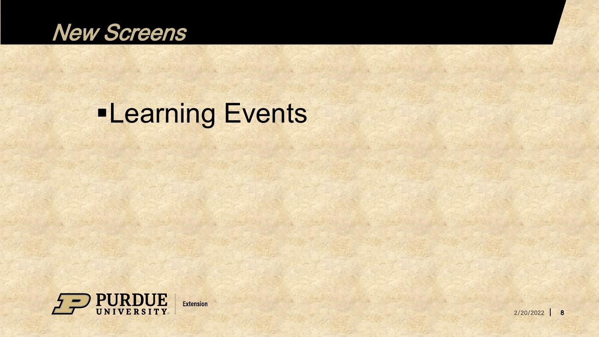

### **-Learning Events**

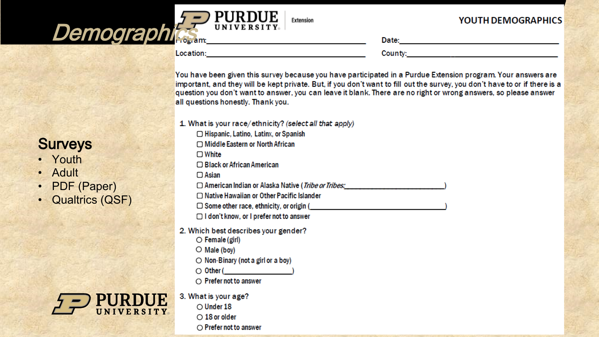#### YOUTH DEMOGRAPHICS

Location:

UNIVE

**Demographics** 

**UNIVERSITY** 

County: the country of the country of the country of the country of the country of the country of the country of the country of the country of the country of the country of the country of the country of the country of the

You have been given this survey because you have participated in a Purdue Extension program. Your answers are important, and they will be kept private. But, if you don't want to fill out the survey, you don't have to or if there is a question you don't want to answer, you can leave it blank. There are no right or wrong answers, so please answer all questions honestly. Thank you.

1. What is your race/ethnicity? (select all that apply) □ Hispanic, Latino, Latinx, or Spanish □ Middle Eastern or North African  $\Box$  White □ Black or African American  $\Box$  Asian □ American Indian or Alaska Native (Tribe or Tribes: □ Native Hawaiian or Other Pacific Islander  $\Box$  Some other race, ethnicity, or origin ( □ I don't know, or I prefer not to answer 2. Which best describes your gender?  $\circ$  Female (girl)  $\bigcirc$  Male (boy)  $\bigcirc$  Non-Binary (not a girl or a boy)  $\bigcirc$  Other (expansion of  $\bigcirc$  $\bigcirc$  Prefer not to answer 3. What is your age?  $\bigcirc$  Under 18  $\bigcirc$  18 or older  $\bigcirc$  Prefer not to answer

Extension

#### **Surveys**

- Youth
- Adult
- PDF (Paper)
- Qualtrics (QSF)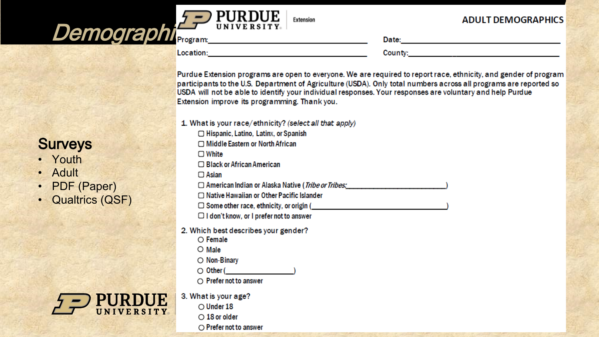

Extension

#### **ADULT DEMOGRAPHICS**

**Location: Example 2018** 

County: the country of the country of the country of the country of the country of the country of the country of the country of the country of the country of the country of the country of the country of the country of the

Purdue Extension programs are open to everyone. We are required to report race, ethnicity, and gender of program participants to the U.S. Department of Agriculture (USDA). Only total numbers across all programs are reported so USDA will not be able to identify your individual responses. Your responses are voluntary and help Purdue Extension improve its programming. Thank you.

1. What is your race/ethnicity? (select all that apply) □ Hispanic, Latino, Latinx, or Spanish □ Middle Eastern or North African  $\Box$  White □ Black or African American  $\Box$  Asian □ American Indian or Alaska Native (*Tribe or Tribes:* □ Native Hawaiian or Other Pacific Islander  $\Box$  Some other race, ethnicity, or origin ( $\Box$  $\Box$  I don't know, or I prefer not to answer 2. Which best describes your gender?  $\bigcirc$  Female  $\bigcirc$  Male  $\bigcirc$  Non-Binary  $\bigcirc$  Other ( )  $\bigcirc$  Prefer not to answer 3. What is your age?  $\bigcirc$  Under 18  $\bigcirc$  18 or older  $\bigcirc$  Prefer not to answer

#### **Surveys**

- Youth
- Adult
- PDF (Paper)
- Qualtrics (QSF)

| <b>PURDUE</b> |  |
|---------------|--|
| UNIVERSITY    |  |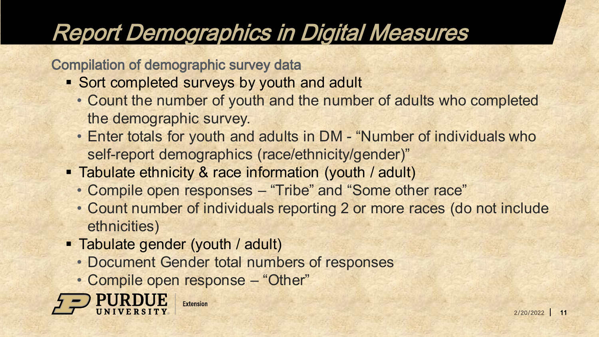### Report Demographics in Digital Measures

Compilation of demographic survey data

- **Sort completed surveys by youth and adult** 
	- Count the number of youth and the number of adults who completed the demographic survey.
	- Enter totals for youth and adults in DM "Number of individuals who self-report demographics (race/ethnicity/gender)"
- **Tabulate ethnicity & race information (youth / adult)** 
	- Compile open responses "Tribe" and "Some other race"
	- Count number of individuals reporting 2 or more races (do not include ethnicities)
- **Tabulate gender (youth / adult)** 
	- Document Gender total numbers of responses
	- Compile open response "Other"

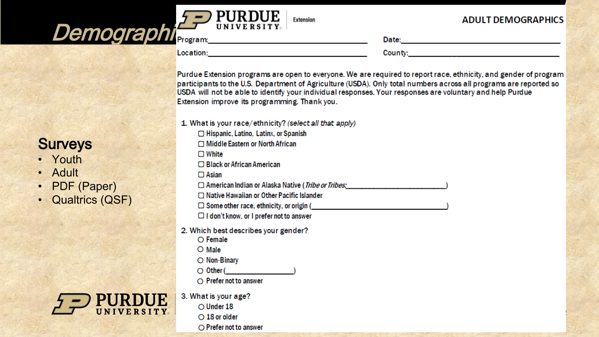

Extension

#### **ADULT DEMOGRAPHICS**

12

**Location:** the contract of the contract of the contract of the contract of the contract of the contract of the contract of the contract of the contract of the contract of the contract of the contract of the contract of th

County: the country of the country of the country of the country of the country of the country of the country of the country of the country of the country of the country of the country of the country of the country of the

Purdue Extension programs are open to everyone. We are required to report race, ethnicity, and gender of program participants to the U.S. Department of Agriculture (USDA). Only total numbers across all programs are reported so USDA will not be able to identify your individual responses. Your responses are voluntary and help Purdue Extension improve its programming. Thank you.

1. What is your race/ethnicity? (select all that apply) □ Hispanic, Latino, Latinx, or Spanish □ Middle Eastern or North African  $\Box$  White □ Black or African American  $\Box$  Asian □ American Indian or Alaska Native (*Tribe or Tribes:* □ Native Hawaiian or Other Pacific Islander  $\Box$  Some other race, ethnicity, or origin ( $\Box$  $\Box$  I don't know, or I prefer not to answer 2. Which best describes your gender?  $\bigcirc$  Female  $\bigcirc$  Male  $\bigcirc$  Non-Binary  $\bigcirc$  Other (expansion of  $\bigcirc$  $\bigcirc$  Prefer not to answer 3. What is your age?  $\bigcirc$  Under 18  $\bigcirc$  18 or older  $\bigcirc$  Prefer not to answer

#### **Surveys**

- Youth
- Adult
- PDF (Paper)
- Qualtrics (QSF)

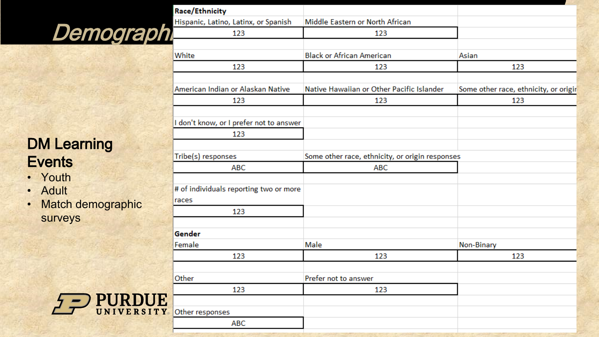### Demograph

#### DM Learning **Events**

- Youth
- Adult
- Match demographic surveys



| Race/Ethnicity                         |                                                 |                                       |  |  |  |  |
|----------------------------------------|-------------------------------------------------|---------------------------------------|--|--|--|--|
| Hispanic, Latino, Latinx, or Spanish   | Middle Eastern or North African                 |                                       |  |  |  |  |
| 123                                    | 123                                             |                                       |  |  |  |  |
|                                        |                                                 |                                       |  |  |  |  |
| White                                  | <b>Black or African American</b>                | Asian                                 |  |  |  |  |
| 123                                    | 123                                             | 123                                   |  |  |  |  |
|                                        |                                                 |                                       |  |  |  |  |
| American Indian or Alaskan Native      | Native Hawaiian or Other Pacific Islander       | Some other race, ethnicity, or origir |  |  |  |  |
| 123                                    | 123                                             | 123                                   |  |  |  |  |
|                                        |                                                 |                                       |  |  |  |  |
| don't know, or I prefer not to answer  |                                                 |                                       |  |  |  |  |
| 123                                    |                                                 |                                       |  |  |  |  |
|                                        |                                                 |                                       |  |  |  |  |
| Tribe(s) responses                     | Some other race, ethnicity, or origin responses |                                       |  |  |  |  |
| <b>ABC</b>                             | <b>ABC</b>                                      |                                       |  |  |  |  |
|                                        |                                                 |                                       |  |  |  |  |
| # of individuals reporting two or more |                                                 |                                       |  |  |  |  |
| races                                  |                                                 |                                       |  |  |  |  |
| 123                                    |                                                 |                                       |  |  |  |  |
|                                        |                                                 |                                       |  |  |  |  |
| Gender                                 |                                                 |                                       |  |  |  |  |
| Female                                 | Male                                            | Non-Binary                            |  |  |  |  |
| 123                                    | 123                                             | 123                                   |  |  |  |  |
|                                        |                                                 |                                       |  |  |  |  |
| Other                                  | Prefer not to answer                            |                                       |  |  |  |  |
| 123                                    | 123                                             |                                       |  |  |  |  |
| Other responses                        |                                                 |                                       |  |  |  |  |
| ABC                                    |                                                 |                                       |  |  |  |  |
|                                        |                                                 |                                       |  |  |  |  |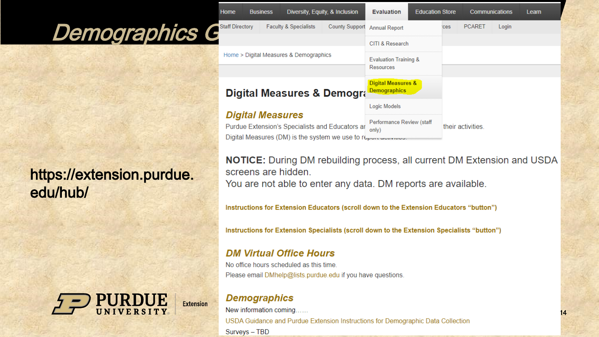### Demographics G

#### https://extension.purdue. edu/hub/



| Home                                                                                                             | <b>Business</b> |                                        | Diversity, Equity, & Inclusion                | <b>Evaluation</b>                                    | <b>Education Store</b> |                   | <b>Communications</b> |       | Learn |
|------------------------------------------------------------------------------------------------------------------|-----------------|----------------------------------------|-----------------------------------------------|------------------------------------------------------|------------------------|-------------------|-----------------------|-------|-------|
| <b>Staff Directory</b>                                                                                           |                 | <b>Faculty &amp; Specialists</b>       | <b>County Support</b>                         | <b>Annual Report</b>                                 |                        | ces               | <b>PCARET</b>         | Login |       |
|                                                                                                                  |                 |                                        | CITI & Research                               |                                                      |                        |                   |                       |       |       |
|                                                                                                                  |                 | Home > Digital Measures & Demographics | <b>Evaluation Training &amp;</b><br>Resources |                                                      |                        |                   |                       |       |       |
|                                                                                                                  |                 |                                        |                                               |                                                      |                        |                   |                       |       |       |
|                                                                                                                  |                 | Digital Measures & Demogra             |                                               | <b>Digital Measures &amp;</b><br><b>Demographics</b> |                        |                   |                       |       |       |
| <b>Digital Measures</b>                                                                                          |                 |                                        |                                               | Logic Models                                         |                        |                   |                       |       |       |
| Purdue Extension's Specialists and Educators ar<br>Digital Measures (DM) is the system we use to report advanced |                 |                                        | Performance Review (staff<br>only)            |                                                      |                        | their activities. |                       |       |       |

**NOTICE:** During DM rebuilding process, all current DM Extension and USDA screens are hidden. You are not able to enter any data. DM reports are available.

14

Instructions for Extension Educators (scroll down to the Extension Educators "button")

Instructions for Extension Specialists (scroll down to the Extension Specialists "button")

#### **DM Virtual Office Hours**

No office hours scheduled as this time. Please email DMhelp@lists.purdue.edu if you have questions.

#### **Demographics**

New information coming...... USDA Guidance and Purdue Extension Instructions for Demographic Data Collection Surveys - TBD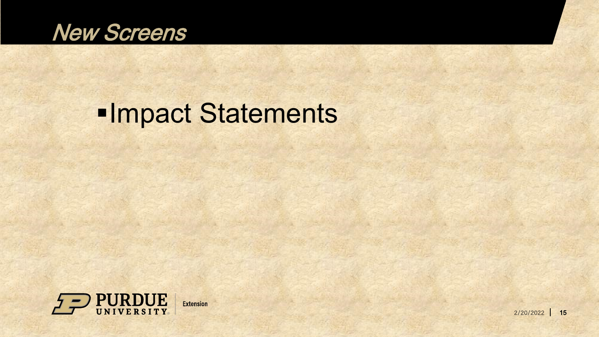

### **-Impact Statements**

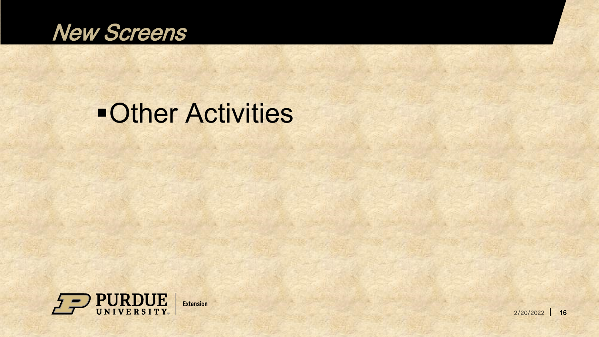

### **-Other Activities**